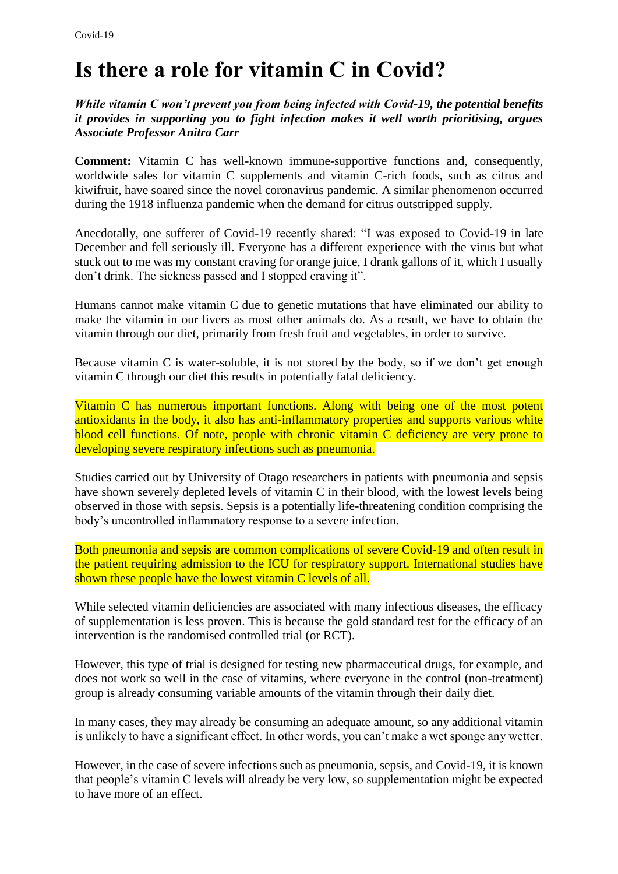## **Is there a role for vitamin C in Covid?**

*While vitamin C won't prevent you from being infected with Covid-19, the potential benefits it provides in supporting you to fight infection makes it well worth prioritising, argues Associate Professor Anitra Carr*

**Comment:** Vitamin C has well-known immune-supportive functions and, consequently, worldwide sales for vitamin C supplements and vitamin C-rich foods, such as citrus and kiwifruit, have soared since the novel coronavirus pandemic. A similar phenomenon occurred during the 1918 influenza pandemic when the demand for citrus outstripped supply.

Anecdotally, one sufferer of Covid-19 recently shared: "I was exposed to Covid-19 in late December and fell seriously ill. Everyone has a different experience with the virus but what stuck out to me was my constant craving for orange juice, I drank gallons of it, which I usually don't drink. The sickness passed and I stopped craving it".

Humans cannot make vitamin C due to genetic mutations that have eliminated our ability to make the vitamin in our livers as most other animals do. As a result, we have to obtain the vitamin through our diet, primarily from fresh fruit and vegetables, in order to survive.

Because vitamin C is water-soluble, it is not stored by the body, so if we don't get enough vitamin C through our diet this results in potentially fatal deficiency.

Vitamin C has numerous important functions. Along with being one of the most potent antioxidants in the body, it also has anti-inflammatory properties and supports various white blood cell functions. Of note, people with chronic vitamin C deficiency are very prone to developing severe respiratory infections such as pneumonia.

Studies carried out by University of Otago researchers in patients with pneumonia and sepsis have shown severely depleted levels of vitamin C in their blood, with the lowest levels being observed in those with sepsis. Sepsis is a potentially life-threatening condition comprising the body's uncontrolled inflammatory response to a severe infection.

Both pneumonia and sepsis are common complications of severe Covid-19 and often result in the patient requiring admission to the ICU for respiratory support. International studies have shown these people have the lowest vitamin C levels of all.

While selected vitamin deficiencies are associated with many infectious diseases, the efficacy of supplementation is less proven. This is because the gold standard test for the efficacy of an intervention is the randomised controlled trial (or RCT).

However, this type of trial is designed for testing new pharmaceutical drugs, for example, and does not work so well in the case of vitamins, where everyone in the control (non-treatment) group is already consuming variable amounts of the vitamin through their daily diet.

In many cases, they may already be consuming an adequate amount, so any additional vitamin is unlikely to have a significant effect. In other words, you can't make a wet sponge any wetter.

However, in the case of severe infections such as pneumonia, sepsis, and Covid-19, it is known that people's vitamin C levels will already be very low, so supplementation might be expected to have more of an effect.